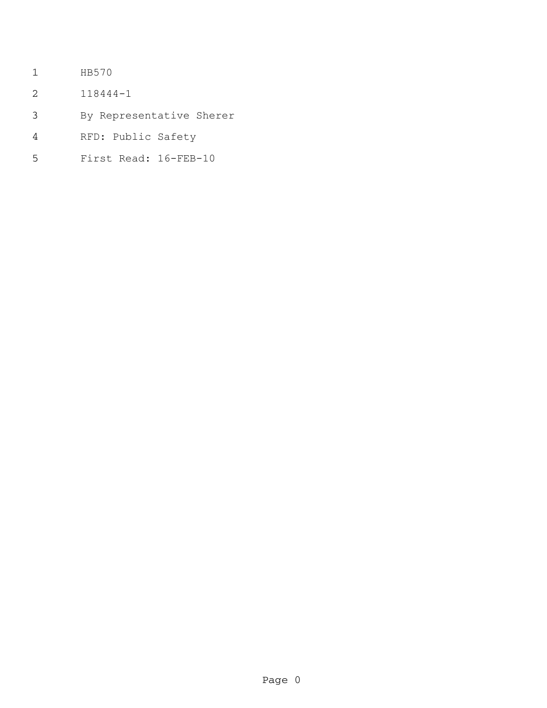- HB570
- 118444-1
- By Representative Sherer
- RFD: Public Safety
- First Read: 16-FEB-10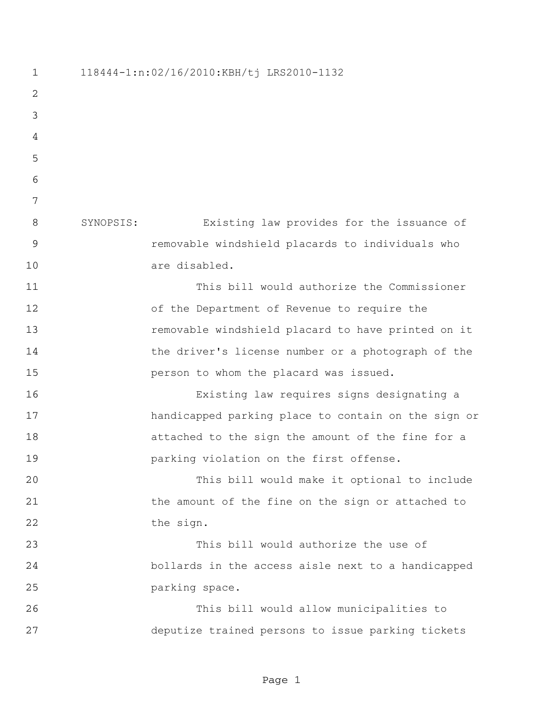118444-1:n:02/16/2010:KBH/tj LRS2010-1132 SYNOPSIS: Existing law provides for the issuance of removable windshield placards to individuals who are disabled. This bill would authorize the Commissioner of the Department of Revenue to require the removable windshield placard to have printed on it the driver's license number or a photograph of the person to whom the placard was issued. Existing law requires signs designating a 17 handicapped parking place to contain on the sign or attached to the sign the amount of the fine for a parking violation on the first offense. This bill would make it optional to include 21 the amount of the fine on the sign or attached to 22 the sign. This bill would authorize the use of bollards in the access aisle next to a handicapped parking space. This bill would allow municipalities to deputize trained persons to issue parking tickets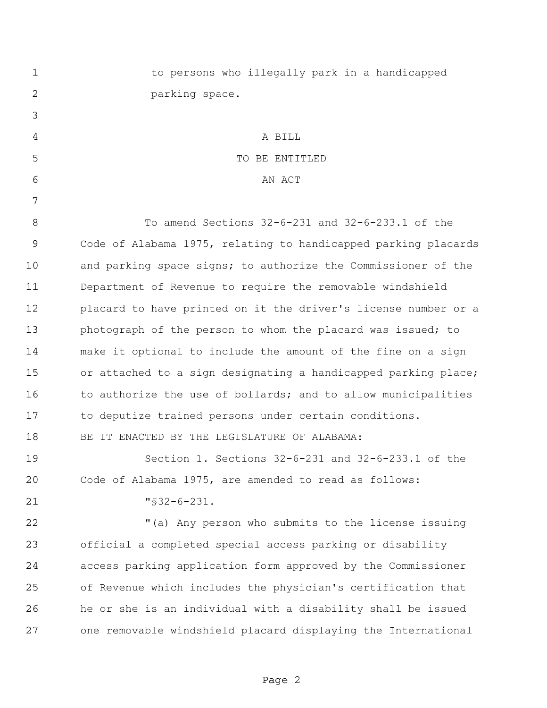| $\mathbf 1$ | to persons who illegally park in a handicapped                 |
|-------------|----------------------------------------------------------------|
| 2           | parking space.                                                 |
| 3           |                                                                |
| 4           | A BILL                                                         |
| 5           | TO BE ENTITLED                                                 |
| 6           | AN ACT                                                         |
| 7           |                                                                |
| 8           | To amend Sections 32-6-231 and 32-6-233.1 of the               |
| 9           | Code of Alabama 1975, relating to handicapped parking placards |
| 10          | and parking space signs; to authorize the Commissioner of the  |
| 11          | Department of Revenue to require the removable windshield      |
| 12          | placard to have printed on it the driver's license number or a |
| 13          | photograph of the person to whom the placard was issued; to    |
| 14          | make it optional to include the amount of the fine on a sign   |
| 15          | or attached to a sign designating a handicapped parking place; |
| 16          | to authorize the use of bollards; and to allow municipalities  |
| 17          | to deputize trained persons under certain conditions.          |
| 18          | BE IT ENACTED BY THE LEGISLATURE OF ALABAMA:                   |
| 19          | Section 1. Sections $32-6-231$ and $32-6-233.1$ of the         |
| 20          | Code of Alabama 1975, are amended to read as follows:          |
| 21          | $"$ \$32-6-231.                                                |
| 22          | "(a) Any person who submits to the license issuing             |
| 23          | official a completed special access parking or disability      |
| 24          | access parking application form approved by the Commissioner   |
| 25          | of Revenue which includes the physician's certification that   |
| 26          | he or she is an individual with a disability shall be issued   |
| 27          | one removable windshield placard displaying the International  |
|             |                                                                |

Page 2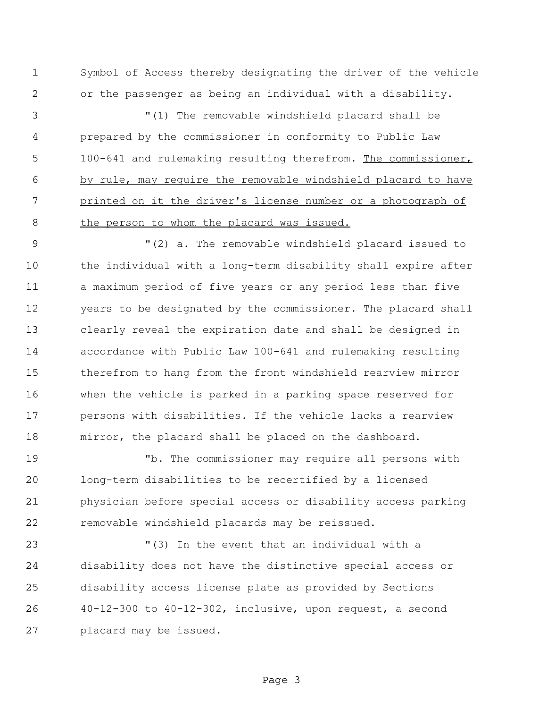Symbol of Access thereby designating the driver of the vehicle or the passenger as being an individual with a disability.

 "(1) The removable windshield placard shall be prepared by the commissioner in conformity to Public Law 100-641 and rulemaking resulting therefrom. The commissioner, by rule, may require the removable windshield placard to have 7 printed on it the driver's license number or a photograph of 8 the person to whom the placard was issued.

 "(2) a. The removable windshield placard issued to the individual with a long-term disability shall expire after a maximum period of five years or any period less than five years to be designated by the commissioner. The placard shall clearly reveal the expiration date and shall be designed in accordance with Public Law 100-641 and rulemaking resulting therefrom to hang from the front windshield rearview mirror when the vehicle is parked in a parking space reserved for persons with disabilities. If the vehicle lacks a rearview mirror, the placard shall be placed on the dashboard.

 "b. The commissioner may require all persons with long-term disabilities to be recertified by a licensed physician before special access or disability access parking removable windshield placards may be reissued.

 "(3) In the event that an individual with a disability does not have the distinctive special access or disability access license plate as provided by Sections 40-12-300 to 40-12-302, inclusive, upon request, a second placard may be issued.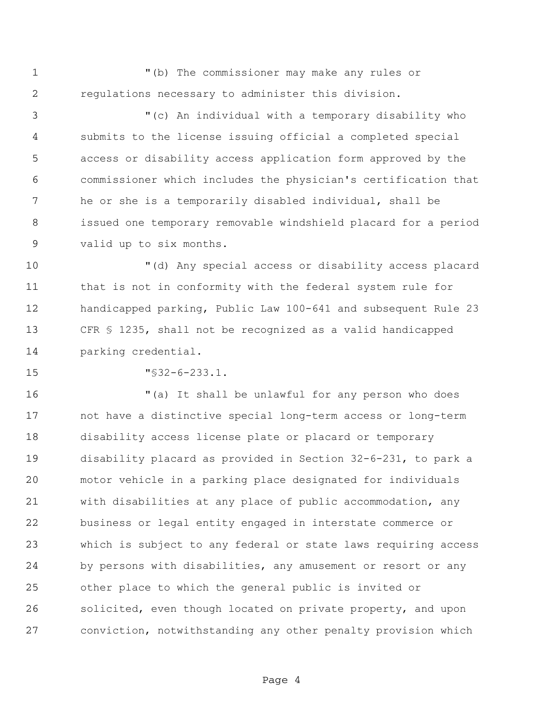"(b) The commissioner may make any rules or regulations necessary to administer this division.

 "(c) An individual with a temporary disability who submits to the license issuing official a completed special access or disability access application form approved by the commissioner which includes the physician's certification that he or she is a temporarily disabled individual, shall be issued one temporary removable windshield placard for a period valid up to six months.

 "(d) Any special access or disability access placard that is not in conformity with the federal system rule for handicapped parking, Public Law 100-641 and subsequent Rule 23 CFR § 1235, shall not be recognized as a valid handicapped parking credential.

"§32-6-233.1.

 "(a) It shall be unlawful for any person who does not have a distinctive special long-term access or long-term disability access license plate or placard or temporary disability placard as provided in Section 32-6-231, to park a motor vehicle in a parking place designated for individuals with disabilities at any place of public accommodation, any business or legal entity engaged in interstate commerce or which is subject to any federal or state laws requiring access by persons with disabilities, any amusement or resort or any other place to which the general public is invited or solicited, even though located on private property, and upon conviction, notwithstanding any other penalty provision which

Page 4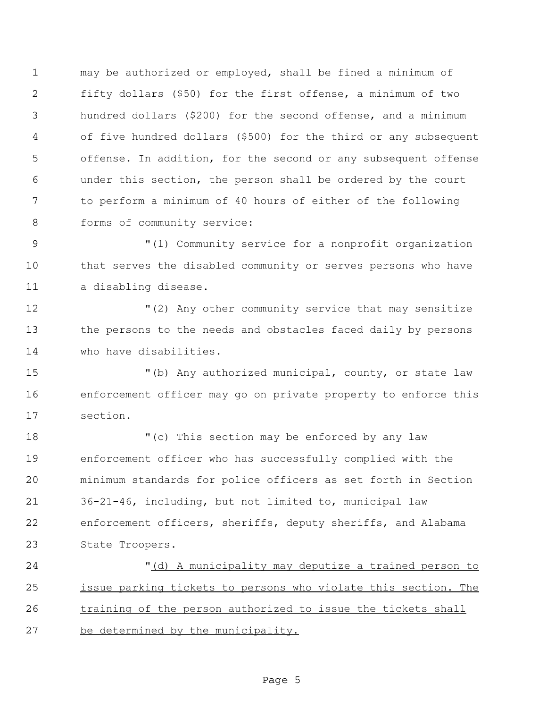may be authorized or employed, shall be fined a minimum of fifty dollars (\$50) for the first offense, a minimum of two hundred dollars (\$200) for the second offense, and a minimum of five hundred dollars (\$500) for the third or any subsequent offense. In addition, for the second or any subsequent offense under this section, the person shall be ordered by the court to perform a minimum of 40 hours of either of the following 8 forms of community service:

9  $(1)$  Community service for a nonprofit organization that serves the disabled community or serves persons who have a disabling disease.

 "(2) Any other community service that may sensitize the persons to the needs and obstacles faced daily by persons who have disabilities.

 "(b) Any authorized municipal, county, or state law enforcement officer may go on private property to enforce this section.

18 "(c) This section may be enforced by any law enforcement officer who has successfully complied with the minimum standards for police officers as set forth in Section 36-21-46, including, but not limited to, municipal law enforcement officers, sheriffs, deputy sheriffs, and Alabama State Troopers.

 "(d) A municipality may deputize a trained person to issue parking tickets to persons who violate this section. The training of the person authorized to issue the tickets shall be determined by the municipality.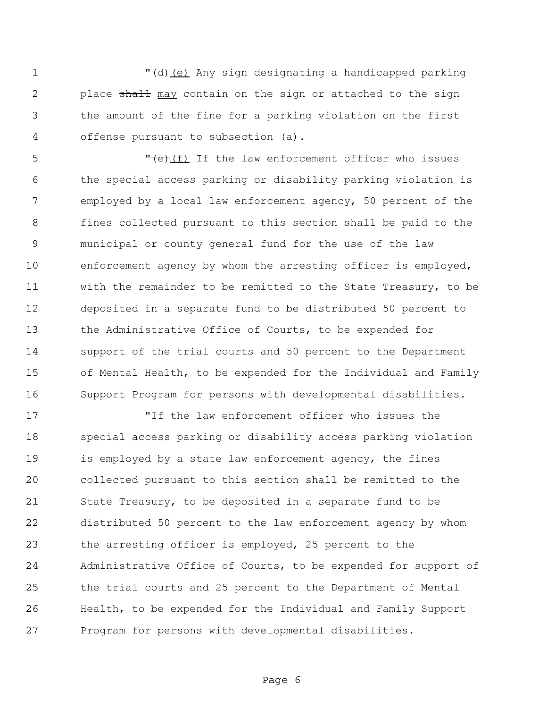1 The Moving of the Manusian designating a handicapped parking 2 place shall may contain on the sign or attached to the sign the amount of the fine for a parking violation on the first offense pursuant to subsection (a).

 $\sqrt{e^+(f)}$  If the law enforcement officer who issues the special access parking or disability parking violation is employed by a local law enforcement agency, 50 percent of the fines collected pursuant to this section shall be paid to the municipal or county general fund for the use of the law enforcement agency by whom the arresting officer is employed, with the remainder to be remitted to the State Treasury, to be deposited in a separate fund to be distributed 50 percent to the Administrative Office of Courts, to be expended for support of the trial courts and 50 percent to the Department of Mental Health, to be expended for the Individual and Family Support Program for persons with developmental disabilities.

 "If the law enforcement officer who issues the special access parking or disability access parking violation is employed by a state law enforcement agency, the fines collected pursuant to this section shall be remitted to the State Treasury, to be deposited in a separate fund to be distributed 50 percent to the law enforcement agency by whom the arresting officer is employed, 25 percent to the Administrative Office of Courts, to be expended for support of the trial courts and 25 percent to the Department of Mental Health, to be expended for the Individual and Family Support Program for persons with developmental disabilities.

Page 6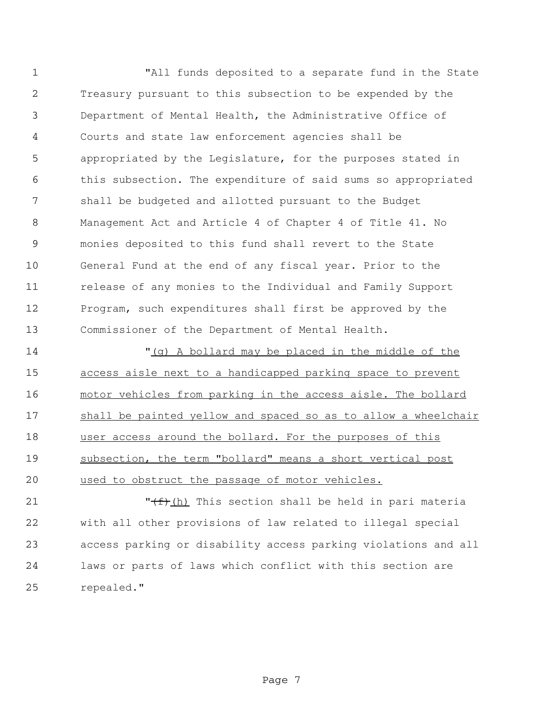"All funds deposited to a separate fund in the State Treasury pursuant to this subsection to be expended by the Department of Mental Health, the Administrative Office of Courts and state law enforcement agencies shall be appropriated by the Legislature, for the purposes stated in this subsection. The expenditure of said sums so appropriated shall be budgeted and allotted pursuant to the Budget Management Act and Article 4 of Chapter 4 of Title 41. No monies deposited to this fund shall revert to the State General Fund at the end of any fiscal year. Prior to the release of any monies to the Individual and Family Support Program, such expenditures shall first be approved by the Commissioner of the Department of Mental Health.

 "(g) A bollard may be placed in the middle of the access aisle next to a handicapped parking space to prevent motor vehicles from parking in the access aisle. The bollard shall be painted yellow and spaced so as to allow a wheelchair 18 user access around the bollard. For the purposes of this subsection, the term "bollard" means a short vertical post used to obstruct the passage of motor vehicles.

 $\sqrt{f}$   $\frac{f}{f}$   $\frac{f}{h}$  This section shall be held in pari materia with all other provisions of law related to illegal special access parking or disability access parking violations and all laws or parts of laws which conflict with this section are repealed."